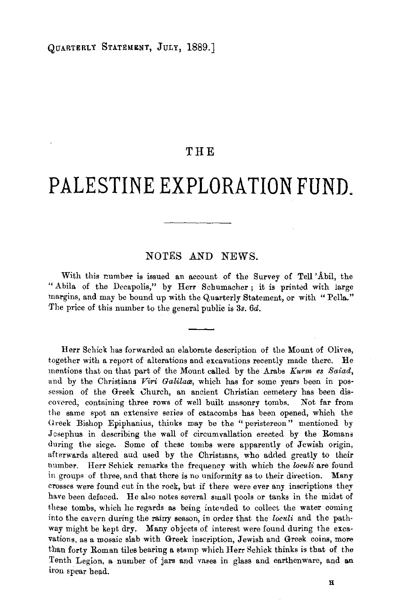## **THE**

## **PALES TINE EXPLORATION FUND.**

## NOTES AND NEWS.

With this rumber is issued an account of the Survey of Tell' Abil, the " Abila of the Decapolis," by Herr Schumacher; it is printed with large margins, and may be bound up with the Quarterly Statement, or with "Pella." The price of this number to the general public is 3s. 6d.

Herr Schick has forwarded an elaborate description of the Mount of Olives, together with a report of alterations and excavations recently made there. He mentions that on that part of the Mount called by the Arabs *Kurm es Saiad*, and by the Christians *Viri Galilaa*, which has for some years been in possession of the Greek Church, an ancient Christian cemetery has been discowred, containing three rows of well built masonry tombs. Not far from the same spot an extensive series of catacombs has been opened, which the Greek Bishop Epiphanius, thinks may be the "peristereon" mentioned by Jcsephus in describing the wall of circumvallation erected by the Romans during the siege. Some of these tombs were apparently of Jewish origin, afterwards altered aud used by the Christians, who added greatly to their number. Herr Schick remarks the frequency with which the *loculi* are found in groups of three, and that there is no uniformity as to their direction. Many crosses were found cut in the rock, but if there were ever any inscriptions they have been defaced. He also notes several small pools or tanks in the midst of these tombs, which he regards as being intended to collect the water coming into the cavern during the rainy season, in order that the *loculi* and the path· way might be kept dry. Many objects of interest were found during the excavations, as a mosaic slab with Greek inscription, Jewish and Greek coins, more than forty Roman tiles bearing a stamp which Herr Schick thinks is that of the Tenth Legion, a number of jars and vases in glass and earthenware, and an iron spear head.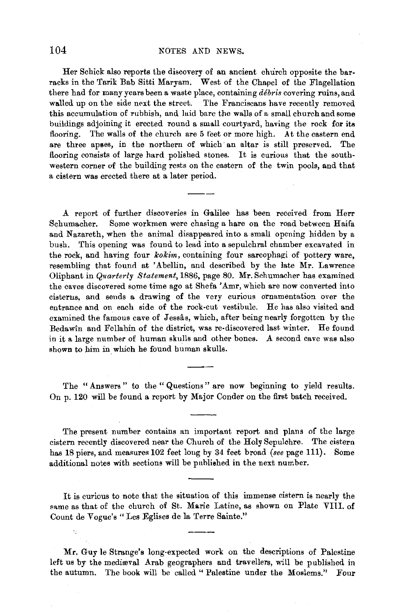Her Schick also reports the discovery of an ancient church opposite the bar· racks in the Tarik Bab Sitti Maryam. West of the Chapel of the Flagellation there had for many years been a waste place, containing *debris* covering ruins, and walled up on the side next the street. The Franciscans have recently removed this accumulation of rubbish, and laid bare the walls of a small church and some buildings adjoining it erected round a small courtyard, having the rock for its flooring. The walls of the church are 5 feet or more high. At the eastern end are three apses, in the northern of which· an altar is still preserved. The flooring consists of large hard polished stones. It is curious that the southwestern corner of the building rests on the eastern of the twin pools, and that a cistern was erected there at a later period.

A report of further discoveries in Galilee has been received from Herr Schumacher. Some workmen were chasing a hare on the road between Haifa and Nazareth, when the animal disappeared into a small opening hidden by a bush. This opening was found to lead into a sepulchral chamber excavated in the rock, and having four *kokim*, containing four sarcophagi of pottery ware, resembling that found at 'Abellin, and described by the late Mr. Lawrence Oliphant in *Quarterly Statement,* 1886, page 80. Mr. Schumacher has examined the caves discovered some time ago at Shefa 'Amr, which are now converted into cisterns, and sends a drawing of the very curious ornamentation over the entrance and on each side of the rock-cut vestibule. He has also visited and examined the famous cave of Jessas, which, after being nearly forgotten by the Bedawin and Fellahin of the district, was re-discovered last winter. He found in it a large number of human skulls and other bones. A second cave was also shown to him in which he found human skulls.

The "Answers" to the "Questions" are now beginning to yield results. On p. 120 will be found a report by Major Conder on the first batch received.

The present number contains an important report and plans of the large cistern recently discovered near the Church of the Holy Sepulchre. The cistern has 18 piers, and measures 102 feet long by 34 feet broad *(see* page 111). Some additional notes with sections will be published in the next number.

It is curious to note that the situation of this immense cistern is nearly the same as that of the church of St. Marie Latine, as shown on Plate VIII. of Count de Vogue's "Les Eglises de la Terre Sainte."

Mr. Guy le Strange's long-expected work on the descriptions of Palestine left us by the mediæval Arab geographers and travellers, will be published in the autumn. The book will be called " Palestine under the Moslems." Four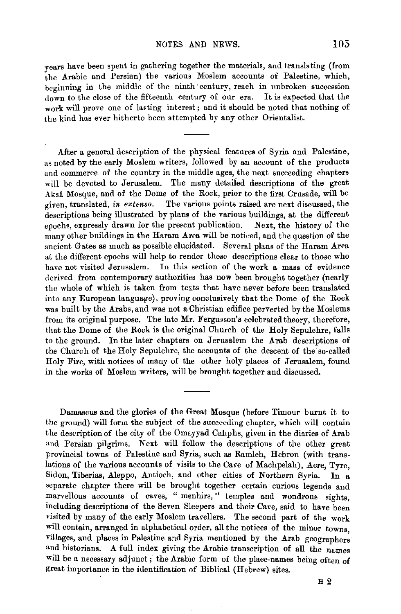years have been spent in gathering together the materials, and translating (from the Arabic and Persian) the various Moslem accounts of Palestine, which, beginning in the middle of the ninth century, reach in unbroken succession down to the close of the fifteenth century of our era. It is expected that the work will prove one of lasting interest; and it should be noted that nothing of the kind has ever hitherto been attempted by any other Orientalist.

After a general description of the physical features of Syria and Palestine, as noted by the early Moslem writers, followed by an account of the products and commerce of the country in the middle ages, the next succeeding chapters will be devoted to Jerusalem. The many detailed descriptions of the great Aksa Mosque, and of the Dome of the Rock, prior to the first Crusade, will be given, translated, *in extenso*. The various points raised are next discussed, the descriptions being illustrated by plans of the various buildings, at the different epochs, expressly drawn for the present publication. Next, the history of the many other buildings in the Haram Area will be noticed, and the question of the ancient Gates as much as possible elucidated. Several plans of the Haram Arca at the different epochs will help to render these descriptions clear to those who have not visited Jerusalem. In this section of the work a mass of evidence derived from contemporary authorities has now been brought together (nearly the whole of which is taken from texts that have never before been translated into any European language), proving conclusively that the Dome of the Rock was built by the Arabs, and was not a Christian edifice perverted by the Moslems from its original purpose. The late Mr. Fergusson's celebrated theory, therefore, that the Dome of the Rock is the original Church of the Holy Sepulchre, falls to the ground. In the later chapters on Jerusalem the Arab descriptions of the Church of the Holy Sepulchre, the accounts of the descent of the so-called Holy Fire, with notices of many of the other holy places of Jerusalem, found in the works of Moslem writers, will be brought together and discussed.

Damascus and the glories of the Great Mosque (before Timour burnt it to the ground) will form the subject of the succeeding chapter, which will contain the description of the city o£ the Omayyad Caliphs, given in the diaries of Arab and Persian pilgrims. Next will follow the descriptions of the other great provincial towns of Palestine and Syria, such as Ramleh, Hebron (with translations of the various accounts of visits to the Cave of Machpelah), Acre, Tyre, Sidon, Tiberias, Aleppo, Antioch, and other cities of Northern Syria. In a separate chapter there will be brought together certain curious legends and marvellous accounts of caves, " menhirs," temples and wondrous sights, including descriptions of the Seven Sleepers and their Cave, said to have been visited by many of the early Moslem travellers. The second part of the work will contain, arranged in alphabetical order, all the notices of the minor towns. villages, and places in Palestine and Syria mentioned by the Arab geographers and historians. A full index giving the Arabic transcription of all the names will be a necessary adjunct; the Arabic form of the place-names being often of great importance in the identification of Biblical (Hebrew) sites.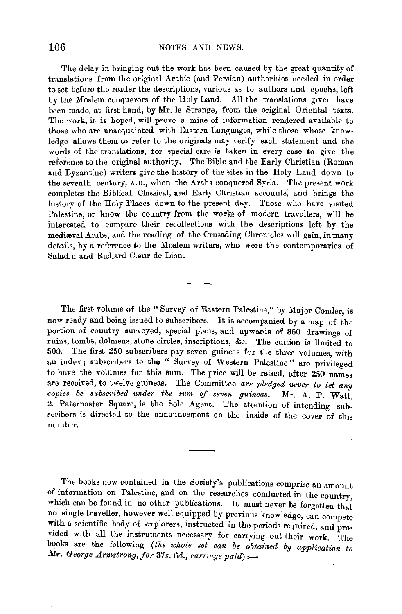The delay in bringing out the work has been caused by tha great quantity of translations from the original Arabic (and Persian) authorities needed in order to set before the reader the descriptions, various as to authors and epochs, left by the Moslem conquerors of the Holy Land. All the translations given have been made, at first hand, by Mr. le Strange, from the original Oriental texts. The work, it is hoped, will prove a mine of information rendered available to those who are unacquainted with Eastern Languages, while those whose knowledge allows them to refer to the originals may verify each statement and the words of the translations, for special care is taken in every case to give the reference to the original authority. The Bible and the Early Christian (Roman and Byzantine) writers give the history of the sites in the Holy Land down to the seventh century, A.D., when the Arabs conquered Syria. The present work completes the Biblical, Classical, and Early Christian accounts, and brings the history of the Holy Places down to the present day. Those who have visited Palestine, or know the country from the works of modern travellers, will be interested to compare their recollections with the descriptions left by the medieval Arabs, and the reading of the Crusading Chronicles will gain, in many details, by a reference to the Moslem writers, who were the contemporaries of Saladin and Richard Coonr de Lion.

The first volume of the "Survey of Eastern Palestine," by Major Conder, is now ready and being issued to subscribers. It is accompanied by a map of the portion of country surveyed, special plans, and upwards of 350 drawings of ruins, tombs, dolmens, stone circles, inscriptions, &c. The edition is limited to  $500$ . The first 250 subscribers pay seven guineas for the three volumes, with n index; subscribers to the "Survey of Western Palestine" are privileged to have the volumes for this sum. The price will be raised, after 250 names are received, to twelve guineas. The Committee *are pledged never to let any copies be subscribed under the sum of seven guineas.* Mr. A. P. Watt, 2, Paternoster Square, is the Sole Agent. The attention of intending subscribers is directed to the announcement on the inside of the cover of this number.

The books now contained in the Society's publications comprise an amount of information on Palestine, and on the researches conducted in the country which can be found in no other publications. It must never be forgotten that no single traveller, however well equipped by previous knowledge, can compete with a scientific body of explorers, instructed in the periods required, and pro• vided with all the instruments necessary for carrying out their work. The books are the following *(the whole set can be obtained by application to Mr. George Armstrong, for 37s. 6d., carriage paid)*:-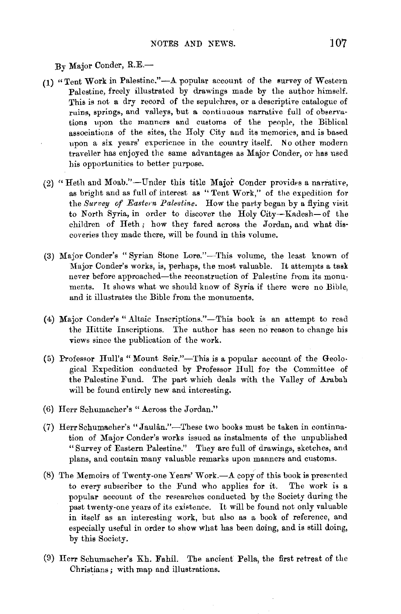$B_v$  Major Conder,  $R.E.$ —

- $(1)$  "Tent Work in Palestine."—A popular account of the survey of Western Palestine, freely illustrated by drawings made by the author himself. This is not a dry record of the sepulchres, or a descriptive catalogue of ruins, springs, and valleys, but a continuous narrative full of observations upon the manners and customs of the people, the Biblical associations of the sites, the Holy City and its memories, and is based upon a six years' experience in the country itself. No other modern traveller has enjoyed the same advantages as Major Conder, or has used his opportunities to better purpose.
- (2) "Heth and Moab."-Under this title Major Conder provides a narrative, as bright and as full of interest as "Tent Work," of the expedition for the *Survey of Eastern Palestine*. How the party began by a flying visit to North Syria, in order to discover the Holy City-Kadesh-of the children of Heth ; how they fared across the Jordan, and what discoveries they made there, will be found in this volume.
- (3) Major Conder's "Syrian Stone Lore."-This volume, the least known of Major Conder's works, is, perhaps, the most valuable. It attempts a task never before approached-the reconstruction of Palestine from its monuments. It shows what we should know of Syria if there were no Bible, and it illustrates the Bible from the monuments.
- (4) Major Conder's "Altaic Inscriptions."-This book is an attempt to read the Hittite Inscriptions. The author has seen no reason to change his views since the publication of the work.
- (5) Professor Hull's "Mount Seir."-This is a popular account of the Geological Expedition conducted by Professor Hull for the Committee of the Palestine Fund. The part which deals with the Valley of Arabah will be found entirely new and interesting.
- (6) Herr Schumacher's "Across the Jordan."
- (7) Herr Schumacher's "Jaulân."-These two books must be taken in continnation of Major Conder's works issued as instalments of the unpublished " Survey of Eastern Palestine." They are full of drawings, sketches, aml plans, and contain many valuable remarks upon manners and customs.
- (8) The Memoirs of Twenty-one Years' Work. $-A$  copy of this book is presented to every subscriber to the Fund who applies for it. The work is a popular account of the researches conducted by the Society during the past twenty-one years of its existence. It will be found not only valuable in itself as an interesting work, but also as a book of reference, and especially useful in order to show what has been doing, and is still doing, by this Society.
- (9) Herr Schumacher's Kh. Fahil. The ancient Pella, the first retreat of the Christians ; with map and illustrations.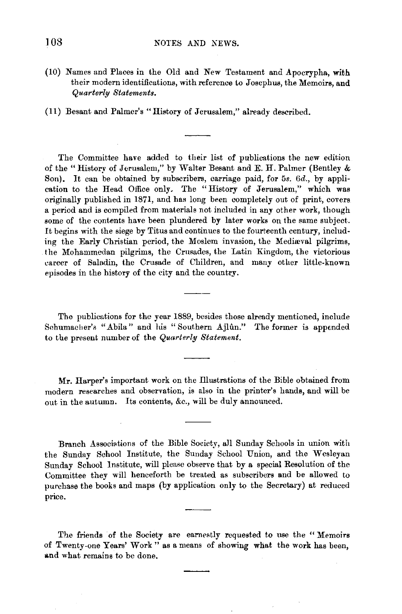(10) Names and Places in the Old and New Testament and Apocrypha, with their modern identifications, with reference to Josephus, the Memoirs, and *Quarterly Statements.* 

(11) Besant and Palmer's "History of Jerusalem," already described.

The Committee have added to their list of publications the new edition of the" History of Jerusalem," by Waiter Besant and E. H. Palmer (Bentley & Son). It can be obtained by subscribers, carriage paid, for 5s. 6d., by application to the Head Office only. The "History of Jerusalem," which was originally published in 1871, and has long been completely out of print, covers a period and is compiled from materials not included in any other work, though some of the contents have been plundered by later works on the same subject. It begins with the siege by Titus and continues to the fourteenth century, including the Early Christian period, the Moslem invasion, the Mediaval pilgrims, the Mohammedan pilgrims, the Crusades, the Latin Kingdom, the victorious career of Saladin, the Crusade of Children, and many other little-known episodes in the history of the city and the country.

The publications for the year 1889, besides those already mentioned, include Schumacher's "Abila" and his "Southern Ajlun." The former is appended to the present number of the *Quarterly Statement.* 

Mr. Harper's important work on the Illustrations of the Bible obtained from modern researches and observation, is also in the printer's hands, and will be out in the autumn. Its contents, &c., will be duly announced.

Branch Associations of the Bible Society, all Sunday Schools in union with the Sunday School Institute, the Sunday School Union, and the Wesleyan Sunday School Institute, will please observe that by a special Resolution of the Committee they will henceforth be treated as subscribers and be allowed to purchase the books and maps (by application only to the Secretary) at reduced price.

The friends of the Society are earnestly requested to use the "Memoirs" of Twenty-one Years' Work" as a means of showing what the work has been, and what remains to be done.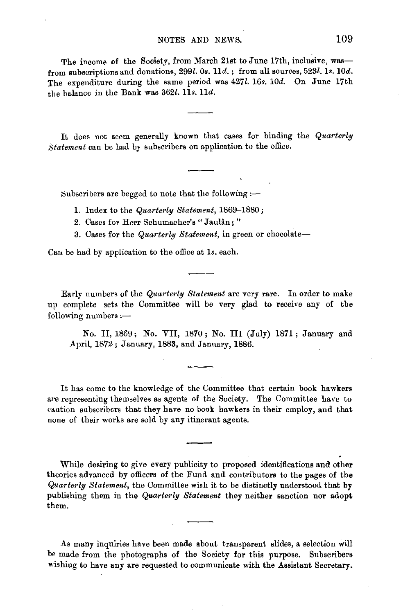## NOTES AND NEWS. 109

The income of the Society, from March 21st to June 17th, inclusive, wasfrom subscriptions and donations, 299l. 0s. 11d.; from all sources, 523l. 1s. 10d. The expenditure during the same period was 427l. 16s. 10d. On June 17th the balance in the Bank was  $362l.$  11s. 11d.

It does not seem generally known that cases for binding the *Quarterly /statement* can be had by subscribers on application to the office.

Subscribers are begged to note that the following  $:$ 

- 1. Index to the *Quarterly Statement,* 1869-1880 ;
- 2. Cases for Herr Schumacher's "Jaulân;"
- 3. Cases for the *Quarterly Statement*, in green or chocolate-

Can be had by application to the office at 1s. each.

Early numbers of the *Quarterly Statement* are very rare. In order to make up complete sets the Committee will be very glad to receive any of the following numbers :-

No. II, 1869; No. YII, 1870; No. Ill (July) 1871; January and April, 1872; January, 1883, and January, 1886.

It has come to the knowledge of the Committee that certain book hawkers are representing themselves as agents of the Society. The Committee have to eaution subscribers that they have no book hawkers in their employ, and that none of their works are sold by any itinerant agents.

While desiring to give every publicity to proposed identifications and other theories advanced by officers of the Fund and contributors to the pages of the *Quarterly Statement,* the Committee wish it to be distinctly understood that by publishing them in the *Quarterly Statement* they neither sanction nor adopt them .

.As many inquiries have been made about transparent slides, a selection will be made from the photographs of the Society for this purpose. Subscribers wishing to have any are requested to communicate with the Assistant Secretary.